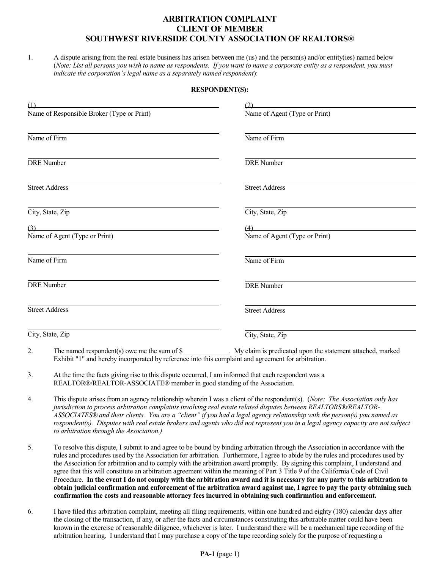## **ARBITRATION COMPLAINT CLIENT OF MEMBER SOUTHWEST RIVERSIDE COUNTY ASSOCIATION OF REALTORS®**

1. A dispute arising from the real estate business has arisen between me (us) and the person(s) and/or entity(ies) named below (Note: List all persons you wish to name as respondents. If you want to name a corporate entity as a respondent, you must *indicate the corporation's legal name as a separately named respondent*):

## **RESPONDENT(S):**

| (1)                                                              |                               |
|------------------------------------------------------------------|-------------------------------|
| Name of Responsible Broker (Type or Print)                       | Name of Agent (Type or Print) |
| Name of Firm                                                     | Name of Firm                  |
| <b>DRE</b> Number                                                | <b>DRE</b> Number             |
| <b>Street Address</b>                                            | <b>Street Address</b>         |
| City, State, Zip                                                 | City, State, Zip              |
| (3)<br><u> 1989 - Johann Barn, mars eta bainar eta idazlea (</u> | (4)                           |
| Name of Agent (Type or Print)                                    | Name of Agent (Type or Print) |
| Name of Firm                                                     | Name of Firm                  |
| <b>DRE</b> Number                                                | <b>DRE</b> Number             |
| <b>Street Address</b>                                            | <b>Street Address</b>         |
| City, State, Zip                                                 | City, State, Zip              |

- 2. The named respondent(s) owe me the sum of \$\_\_\_\_\_\_\_\_\_\_\_\_\_\_. My claim is predicated upon the statement attached, marked Exhibit "1" and hereby incorporated by reference into this complaint and agreement for arbitration.
- 3. At the time the facts giving rise to this dispute occurred, I am informed that each respondent was a REALTOR®/REALTOR-ASSOCIATE® member in good standing of the Association.
- 4. This dispute arises from an agency relationship wherein I was a client of the respondent(s). (*Note: The Association only has jurisdiction to process arbitration complaints involving real estate related disputes between REALTORS®/REALTOR-*ASSOCIATES® and their clients. You are a "client" if you had a legal agency relationship with the person(s) you named as respondent(s). Disputes with real estate brokers and agents who did not represent you in a legal agency capacity are not subject *to arbitration through the Association.)*
- 5. To resolve this dispute, I submit to and agree to be bound by binding arbitration through the Association in accordance with the rules and procedures used by the Association for arbitration. Furthermore, I agree to abide by the rules and procedures used by the Association for arbitration and to comply with the arbitration award promptly. By signing this complaint, I understand and agree that this will constitute an arbitration agreement within the meaning of Part 3 Title 9 of the California Code of Civil Procedure. In the event I do not comply with the arbitration award and it is necessary for any party to this arbitration to obtain judicial confirmation and enforcement of the arbitration award against me, I agree to pay the party obtaining such **confirmation the costs and reasonable attorney fees incurred in obtaining such confirmation and enforcement.**
- 6. I have filed this arbitration complaint, meeting all filing requirements, within one hundred and eighty (180) calendar days after the closing of the transaction, if any, or after the facts and circumstances constituting this arbitrable matter could have been known in the exercise of reasonable diligence, whichever is later. I understand there will be a mechanical tape recording of the arbitration hearing. I understand that I may purchase a copy of the tape recording solely for the purpose of requesting a